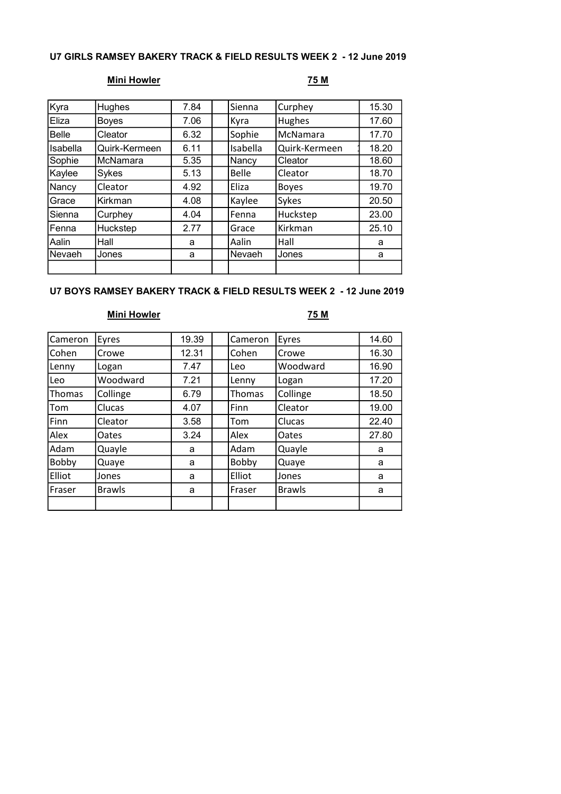# U7 GIRLS RAMSEY BAKERY TRACK & FIELD RESULTS WEEK 2 - 12 June 2019

# Mini Howler 25 M

| Kyra         | Hughes        | 7.84 | Sienna       | Curphey       | 15.30 |
|--------------|---------------|------|--------------|---------------|-------|
| Eliza        | Boyes         | 7.06 | Kyra         | <b>Hughes</b> | 17.60 |
| <b>Belle</b> | Cleator       | 6.32 | Sophie       | McNamara      | 17.70 |
| Isabella     | Quirk-Kermeen | 6.11 | Isabella     | Quirk-Kermeen | 18.20 |
| Sophie       | McNamara      | 5.35 | Nancy        | Cleator       | 18.60 |
| Kaylee       | Sykes         | 5.13 | <b>Belle</b> | Cleator       | 18.70 |
| Nancy        | Cleator       | 4.92 | Eliza        | <b>Boyes</b>  | 19.70 |
| Grace        | Kirkman       | 4.08 | Kaylee       | Sykes         | 20.50 |
| Sienna       | Curphey       | 4.04 | Fenna        | Huckstep      | 23.00 |
| Fenna        | Huckstep      | 2.77 | Grace        | Kirkman       | 25.10 |
| Aalin        | Hall          | a    | Aalin        | Hall          | a     |
| Nevaeh       | Jones         | a    | Nevaeh       | Jones         | a     |
|              |               |      |              |               |       |

## U7 BOYS RAMSEY BAKERY TRACK & FIELD RESULTS WEEK 2 - 12 June 2019

# Mini Howler **Mini Howler** 75 M

| Cameron       | Eyres         | 19.39 | Cameron       | Eyres         | 14.60 |
|---------------|---------------|-------|---------------|---------------|-------|
| Cohen         | Crowe         | 12.31 | Cohen         | Crowe         | 16.30 |
| Lenny         | Logan         | 7.47  | Leo           | Woodward      | 16.90 |
| Leo           | Woodward      | 7.21  | Lenny         | Logan         | 17.20 |
| <b>Thomas</b> | Collinge      | 6.79  | <b>Thomas</b> | Collinge      | 18.50 |
| Tom           | Clucas        | 4.07  | Finn          | Cleator       | 19.00 |
| Finn          | Cleator       | 3.58  | Tom           | Clucas        | 22.40 |
| Alex          | Oates         | 3.24  | Alex          | Oates         | 27.80 |
| Adam          | Quayle        | a     | Adam          | Quayle        | a     |
| Bobby         | Quaye         | a     | Bobby         | Quaye         | a     |
| Elliot        | Jones         | a     | Elliot        | Jones         | a     |
| Fraser        | <b>Brawls</b> | a     | Fraser        | <b>Brawls</b> | a     |
|               |               |       |               |               |       |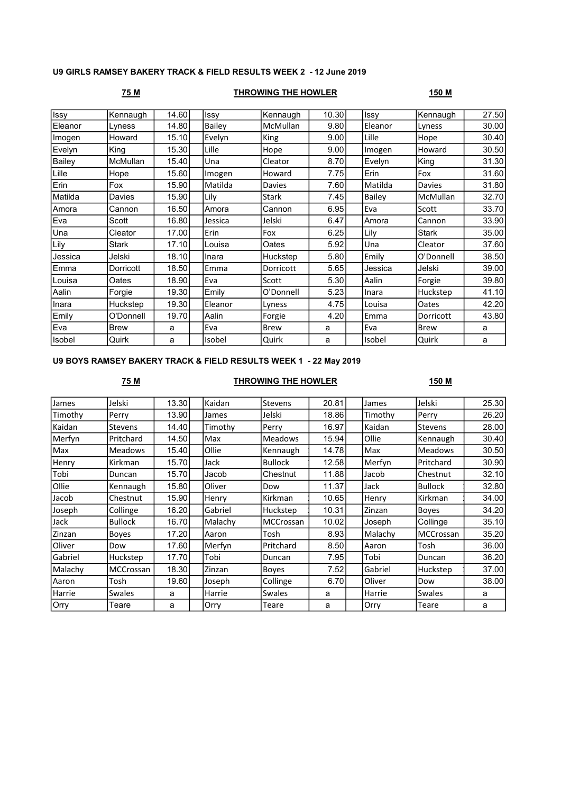## U9 GIRLS RAMSEY BAKERY TRACK & FIELD RESULTS WEEK 2 - 12 June 2019

### 75 M THROWING THE HOWLER 150 M

| Issy    | Kennaugh     | 14.60 | Issy          | Kennaugh     | 10.30 | Issy          | Kennaugh      | $\overline{27.50}$ |
|---------|--------------|-------|---------------|--------------|-------|---------------|---------------|--------------------|
| Eleanor | Lyness       | 14.80 | <b>Bailey</b> | McMullan     | 9.80  | Eleanor       | Lyness        | 30.00              |
| Imogen  | Howard       | 15.10 | Evelyn        | King         | 9.00  | Lille         | Hope          | 30.40              |
| Evelyn  | King         | 15.30 | Lille         | Hope         | 9.00  | Imogen        | Howard        | 30.50              |
| Bailey  | McMullan     | 15.40 | Una           | Cleator      | 8.70  | Evelyn        | King          | 31.30              |
| Lille   | Hope         | 15.60 | Imogen        | Howard       | 7.75  | Erin          | Fox           | 31.60              |
| Erin    | Fox          | 15.90 | Matilda       | Davies       | 7.60  | Matilda       | <b>Davies</b> | 31.80              |
| Matilda | Davies       | 15.90 | Lily          | <b>Stark</b> | 7.45  | <b>Bailey</b> | McMullan      | 32.70              |
| Amora   | Cannon       | 16.50 | Amora         | Cannon       | 6.95  | Eva           | Scott         | 33.70              |
| Eva     | Scott        | 16.80 | Jessica       | Jelski       | 6.47  | Amora         | Cannon        | 33.90              |
| Una     | Cleator      | 17.00 | Erin          | Fox          | 6.25  | Lily          | <b>Stark</b>  | 35.00              |
| Lily    | <b>Stark</b> | 17.10 | Louisa        | Oates        | 5.92  | Una           | Cleator       | 37.60              |
| Jessica | Jelski       | 18.10 | Inara         | Huckstep     | 5.80  | Emily         | O'Donnell     | 38.50              |
| Emma    | Dorricott    | 18.50 | Emma          | Dorricott    | 5.65  | Jessica       | Jelski        | 39.00              |
| Louisa  | Oates        | 18.90 | Eva           | Scott        | 5.30  | Aalin         | Forgie        | 39.80              |
| Aalin   | Forgie       | 19.30 | Emily         | O'Donnell    | 5.23  | <b>Inara</b>  | Huckstep      | 41.10              |
| Inara   | Huckstep     | 19.30 | Eleanor       | Lyness       | 4.75  | Louisa        | Oates         | 42.20              |
| Emily   | O'Donnell    | 19.70 | Aalin         | Forgie       | 4.20  | Emma          | Dorricott     | 43.80              |
| Eva     | <b>Brew</b>  | a     | Eva           | Brew         | a     | Eva           | <b>Brew</b>   | a                  |
| Isobel  | Quirk        | a     | Isobel        | Quirk        | a     | <b>Isobel</b> | Quirk         | a                  |

### U9 BOYS RAMSEY BAKERY TRACK & FIELD RESULTS WEEK 1 - 22 May 2019

# 75 M THROWING THE HOWLER 150 M

| James   | Jelski           | 13.30  | Kaidan  | Stevens        | 20.81 | James   | Jelski           | 25.30 |
|---------|------------------|--------|---------|----------------|-------|---------|------------------|-------|
| Timothy | Perry            | 13.90  | James   | Jelski         | 18.86 | Timothy | Perry            | 26.20 |
| Kaidan  | Stevens          | 14.40  | Timothy | Perry          | 16.97 | Kaidan  | <b>Stevens</b>   | 28.00 |
| Merfyn  | Pritchard        | 14.50  | Max     | <b>Meadows</b> | 15.94 | Ollie   | Kennaugh         | 30.40 |
| Max     | <b>Meadows</b>   | 15.40  | Ollie   | Kennaugh       | 14.78 | Max     | <b>Meadows</b>   | 30.50 |
| Henry   | Kirkman          | 15.70  | Jack    | <b>Bullock</b> | 12.58 | Merfyn  | Pritchard        | 30.90 |
| Tobi    | Duncan           | 15.70  | Jacob   | Chestnut       | 11.88 | Jacob   | Chestnut         | 32.10 |
| Ollie   | Kennaugh         | 15.80  | Oliver  | Dow            | 11.37 | Jack    | <b>Bullock</b>   | 32.80 |
| Jacob   | Chestnut         | 15.90  | Henry   | Kirkman        | 10.65 | Henry   | Kirkman          | 34.00 |
| Joseph  | Collinge         | 16.20  | Gabriel | Huckstep       | 10.31 | Zinzan  | <b>Boyes</b>     | 34.20 |
| Jack    | <b>Bullock</b>   | 16.70l | Malachy | MCCrossan      | 10.02 | Joseph  | Collinge         | 35.10 |
| Zinzan  | Boyes            | 17.20  | Aaron   | Tosh           | 8.93  | Malachy | <b>MCCrossan</b> | 35.20 |
| Oliver  | Dow              | 17.60  | Merfyn  | Pritchard      | 8.50  | Aaron   | Tosh             | 36.00 |
| Gabriel | Huckstep         | 17.70  | Tobi    | Duncan         | 7.95  | Tobi    | Duncan           | 36.20 |
| Malachy | <b>MCCrossan</b> | 18.30  | Zinzan  | Boyes          | 7.52  | Gabriel | Huckstep         | 37.00 |
| Aaron   | Tosh             | 19.60  | Joseph  | Collinge       | 6.70  | Oliver  | Dow              | 38.00 |
| Harrie  | Swales           | a      | Harrie  | <b>Swales</b>  | a     | Harrie  | <b>Swales</b>    | a     |
| Orry    | Teare            | a      | Orry    | Teare          | a     | Orry    | Teare            | a     |